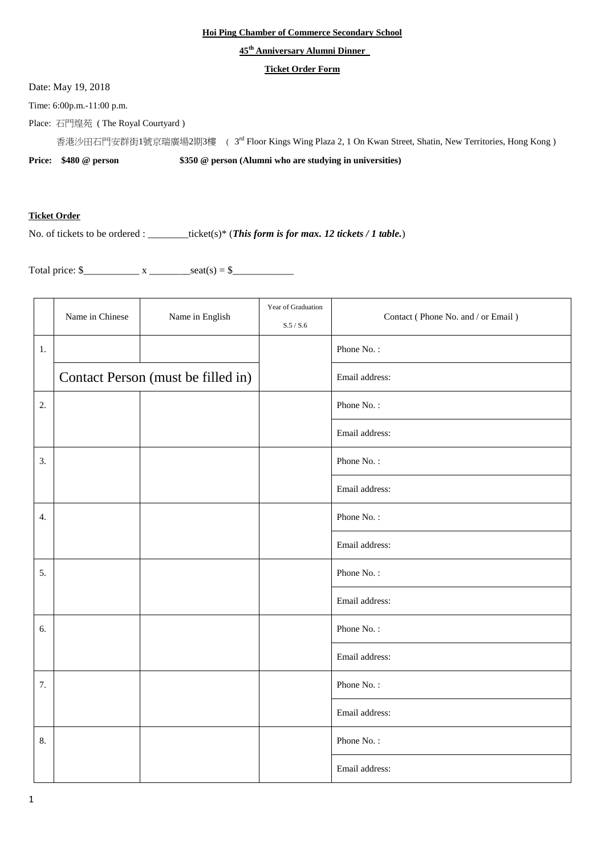## **Hoi Ping Chamber of Commerce Secondary School**

## **45 th Anniversary Alumni Dinner**

## **Ticket Order Form**

Date: May 19, 2018

Time: 6:00p.m.-11:00 p.m.

Place: 石門煌苑 ( The Royal Courtyard )

香港沙田石門安群街1號京瑞廣場2期3樓 ( 3<sup>rd</sup> Floor Kings Wing Plaza 2, 1 On Kwan Street, Shatin, New Territories, Hong Kong )

**Price: \$480 @ person \$350 @ person (Alumni who are studying in universities)**

## **Ticket Order**

No. of tickets to be ordered : \_\_\_\_\_\_\_\_ticket(s)\* (*This form is for max. 12 tickets / 1 table.*)

Total price:  $\frac{\sqrt{5}}{2}$  x \_\_\_\_\_\_\_\_\_\_ seat(s) =  $\frac{\sqrt{5}}{2}$ 

|    | Name in Chinese                    | Name in English | Year of Graduation<br>S.5 / S.6 | Contact (Phone No. and / or Email) |
|----|------------------------------------|-----------------|---------------------------------|------------------------------------|
| 1. |                                    |                 |                                 | Phone No.:                         |
|    | Contact Person (must be filled in) |                 |                                 | Email address:                     |
| 2. |                                    |                 |                                 | Phone No.:                         |
|    |                                    |                 |                                 | Email address:                     |
| 3. |                                    |                 |                                 | Phone No.:                         |
|    |                                    |                 |                                 | Email address:                     |
| 4. |                                    |                 |                                 | Phone No.:                         |
|    |                                    |                 |                                 | Email address:                     |
| 5. |                                    |                 |                                 | Phone No.:                         |
|    |                                    |                 |                                 | Email address:                     |
| 6. |                                    |                 |                                 | Phone No.:                         |
|    |                                    |                 |                                 | Email address:                     |
| 7. |                                    |                 |                                 | Phone No.:                         |
|    |                                    |                 |                                 | Email address:                     |
| 8. |                                    |                 |                                 | Phone No.:                         |
|    |                                    |                 |                                 | Email address:                     |